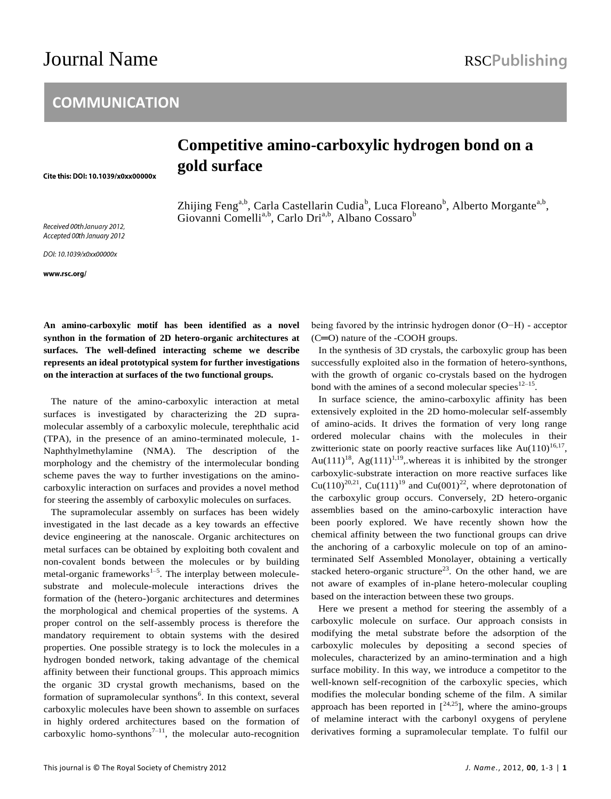# Journal Name RSCPublishing

## **COMMUNICATION**

# **Competitive amino-carboxylic hydrogen bond on a gold surface**

Zhijing Feng<sup>a,b</sup>, Carla Castellarin Cudia<sup>b</sup>, Luca Floreano<sup>b</sup>, Alberto Morgante<sup>a,b</sup>, Giovanni Comelli<sup>a,b</sup>, Carlo Dri<sup>a,b</sup>, Albano Cossaro<sup>b</sup>

Received 00th January 2012, Accepted 00th January 2012

Cite this: DOI: 10.1039/x0xx00000x

DOI: 10.1039/x0xx00000x

www.rsc.org/

**An amino-carboxylic motif has been identified as a novel synthon in the formation of 2D hetero-organic architectures at surfaces. The well-defined interacting scheme we describe represents an ideal prototypical system for further investigations on the interaction at surfaces of the two functional groups.**

The nature of the amino-carboxylic interaction at metal surfaces is investigated by characterizing the 2D supramolecular assembly of a carboxylic molecule, terephthalic acid (TPA), in the presence of an amino-terminated molecule, 1- Naphthylmethylamine (NMA). The description of the morphology and the chemistry of the intermolecular bonding scheme paves the way to further investigations on the aminocarboxylic interaction on surfaces and provides a novel method for steering the assembly of carboxylic molecules on surfaces.

The supramolecular assembly on surfaces has been widely investigated in the last decade as a key towards an effective device engineering at the nanoscale. Organic architectures on metal surfaces can be obtained by exploiting both covalent and non-covalent bonds between the molecules or by building metal-organic frameworks<sup>1-5</sup>. The interplay between moleculesubstrate and molecule-molecule interactions drives the formation of the (hetero-)organic architectures and determines the morphological and chemical properties of the systems. A proper control on the self-assembly process is therefore the mandatory requirement to obtain systems with the desired properties. One possible strategy is to lock the molecules in a hydrogen bonded network, taking advantage of the chemical affinity between their functional groups. This approach mimics the organic 3D crystal growth mechanisms, based on the formation of supramolecular synthons<sup>6</sup>. In this context, several carboxylic molecules have been shown to assemble on surfaces in highly ordered architectures based on the formation of carboxylic homo-synthons<sup> $7-11$ </sup>, the molecular auto-recognition being favored by the intrinsic hydrogen donor (O−H) - acceptor (C═O) nature of the -COOH groups.

In the synthesis of 3D crystals, the carboxylic group has been successfully exploited also in the formation of hetero-synthons, with the growth of organic co-crystals based on the hydrogen bond with the amines of a second molecular species $12-15$ .

In surface science, the amino-carboxylic affinity has been extensively exploited in the 2D homo-molecular self-assembly of amino-acids. It drives the formation of very long range ordered molecular chains with the molecules in their zwitterionic state on poorly reactive surfaces like  $Au(110)^{16,17}$ , Au(111)<sup>18</sup>, Ag(111)<sup>1,19</sup>, whereas it is inhibited by the stronger carboxylic-substrate interaction on more reactive surfaces like Cu(110)<sup>20,21</sup>, Cu(111)<sup>19</sup> and Cu(001)<sup>22</sup>, where deprotonation of the carboxylic group occurs. Conversely, 2D hetero-organic assemblies based on the amino-carboxylic interaction have been poorly explored. We have recently shown how the chemical affinity between the two functional groups can drive the anchoring of a carboxylic molecule on top of an aminoterminated Self Assembled Monolayer, obtaining a vertically stacked hetero-organic structure<sup>23</sup>. On the other hand, we are not aware of examples of in-plane hetero-molecular coupling based on the interaction between these two groups.

Here we present a method for steering the assembly of a carboxylic molecule on surface. Our approach consists in modifying the metal substrate before the adsorption of the carboxylic molecules by depositing a second species of molecules, characterized by an amino-termination and a high surface mobility. In this way, we introduce a competitor to the well-known self-recognition of the carboxylic species, which modifies the molecular bonding scheme of the film. A similar approach has been reported in  $[24,25]$ , where the amino-groups of melamine interact with the carbonyl oxygens of perylene derivatives forming a supramolecular template. To fulfil our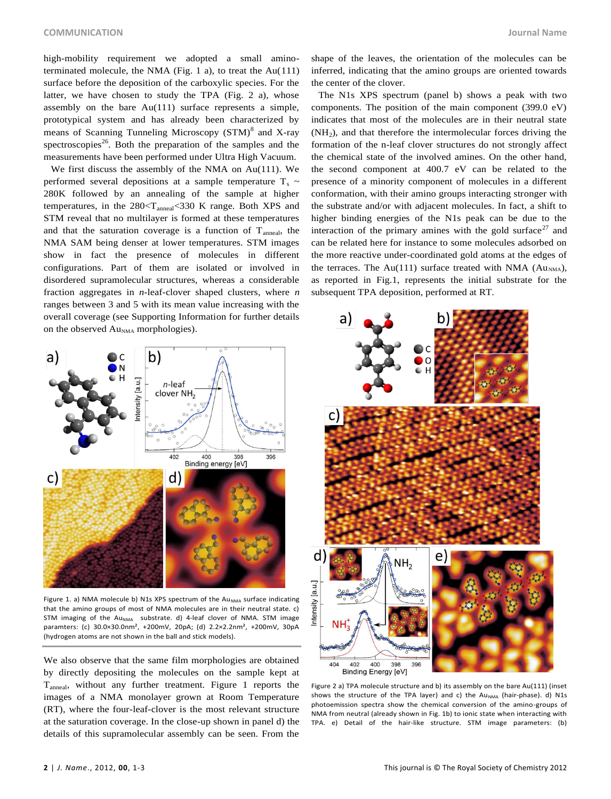high-mobility requirement we adopted a small aminoterminated molecule, the NMA (Fig. 1 a), to treat the Au(111) surface before the deposition of the carboxylic species. For the latter, we have chosen to study the TPA (Fig. 2 a), whose assembly on the bare Au(111) surface represents a simple, prototypical system and has already been characterized by means of Scanning Tunneling Microscopy (STM)<sup>8</sup> and X-ray spectroscopies<sup>26</sup>. Both the preparation of the samples and the measurements have been performed under Ultra High Vacuum.

We first discuss the assembly of the NMA on Au(111). We performed several depositions at a sample temperature  $T_s \sim$ 280K followed by an annealing of the sample at higher temperatures, in the  $280< T<sub>anneal</sub> < 330$  K range. Both XPS and STM reveal that no multilayer is formed at these temperatures and that the saturation coverage is a function of  $T_{\text{anneal}}$ , the NMA SAM being denser at lower temperatures. STM images show in fact the presence of molecules in different configurations. Part of them are isolated or involved in disordered supramolecular structures, whereas a considerable fraction aggregates in *n*-leaf-clover shaped clusters, where *n* ranges between 3 and 5 with its mean value increasing with the overall coverage (see Supporting Information for further details on the observed Au<sub>NMA</sub> morphologies).



Figure 1. a) NMA molecule b) N1s XPS spectrum of the Au<sub>NMA</sub> surface indicating that the amino groups of most of NMA molecules are in their neutral state. c) STM imaging of the Au<sub>NMA</sub> substrate. d) 4-leaf clover of NMA. STM image paramters: (c) 30.0×30.0nm², +200mV, 20pA; (d) 2.2×2.2nm², +200mV, 30pA (hydrogen atoms are not shown in the ball and stick models).

We also observe that the same film morphologies are obtained by directly depositing the molecules on the sample kept at Tanneal, without any further treatment. Figure 1 reports the images of a NMA monolayer grown at Room Temperature (RT), where the four-leaf-clover is the most relevant structure at the saturation coverage. In the close-up shown in panel d) the details of this supramolecular assembly can be seen. From the

shape of the leaves, the orientation of the molecules can be inferred, indicating that the amino groups are oriented towards the center of the clover.

The N1s XPS spectrum (panel b) shows a peak with two components. The position of the main component (399.0 eV) indicates that most of the molecules are in their neutral state (NH<sup>2</sup> ), and that therefore the intermolecular forces driving the formation of the n-leaf clover structures do not strongly affect the chemical state of the involved amines. On the other hand, the second component at 400.7 eV can be related to the presence of a minority component of molecules in a different conformation, with their amino groups interacting stronger with the substrate and/or with adjacent molecules. In fact, a shift to higher binding energies of the N1s peak can be due to the interaction of the primary amines with the gold surface<sup>27</sup> and can be related here for instance to some molecules adsorbed on the more reactive under-coordinated gold atoms at the edges of the terraces. The Au(111) surface treated with NMA ( $Au<sub>NMA</sub>$ ), as reported in Fig.1, represents the initial substrate for the subsequent TPA deposition, performed at RT.



Figure 2 a) TPA molecule structure and b) its assembly on the bare Au(111) (inset shows the structure of the TPA layer) and c) the Au<sub>NMA</sub> (hair-phase). d) N1s photoemission spectra show the chemical conversion of the amino-groups of NMA from neutral (already shown in Fig. 1b) to ionic state when interacting with TPA. e) Detail of the hair-like structure. STM image parameters: (b)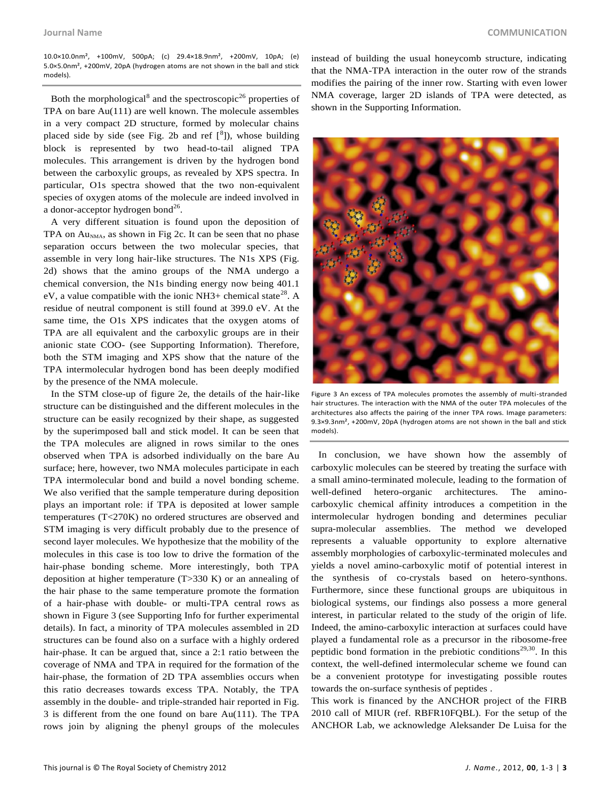10.0×10.0nm², +100mV, 500pA; (c) 29.4×18.9nm², +200mV, 10pA; (e) 5.0×5.0nm², +200mV, 20pA (hydrogen atoms are not shown in the ball and stick models).

Both the morphological<sup>8</sup> and the spectroscopic<sup>26</sup> properties of TPA on bare Au(111) are well known. The molecule assembles in a very compact 2D structure, formed by molecular chains placed side by side (see Fig. 2b and ref  $\binom{8}{3}$ ), whose building block is represented by two head-to-tail aligned TPA molecules. This arrangement is driven by the hydrogen bond between the carboxylic groups, as revealed by XPS spectra. In particular, O1s spectra showed that the two non-equivalent species of oxygen atoms of the molecule are indeed involved in a donor-acceptor hydrogen bond $^{26}$ .

A very different situation is found upon the deposition of TPA on  $Au<sub>NMA</sub>$ , as shown in Fig 2c. It can be seen that no phase separation occurs between the two molecular species, that assemble in very long hair-like structures. The N1s XPS (Fig. 2d) shows that the amino groups of the NMA undergo a chemical conversion, the N1s binding energy now being 401.1 eV, a value compatible with the ionic NH3+ chemical state<sup>28</sup>. A residue of neutral component is still found at 399.0 eV. At the same time, the O1s XPS indicates that the oxygen atoms of TPA are all equivalent and the carboxylic groups are in their anionic state COO- (see Supporting Information). Therefore, both the STM imaging and XPS show that the nature of the TPA intermolecular hydrogen bond has been deeply modified by the presence of the NMA molecule.

In the STM close-up of figure 2e, the details of the hair-like structure can be distinguished and the different molecules in the structure can be easily recognized by their shape, as suggested by the superimposed ball and stick model. It can be seen that the TPA molecules are aligned in rows similar to the ones observed when TPA is adsorbed individually on the bare Au surface; here, however, two NMA molecules participate in each TPA intermolecular bond and build a novel bonding scheme. We also verified that the sample temperature during deposition plays an important role: if TPA is deposited at lower sample temperatures (T<270K) no ordered structures are observed and STM imaging is very difficult probably due to the presence of second layer molecules. We hypothesize that the mobility of the molecules in this case is too low to drive the formation of the hair-phase bonding scheme. More interestingly, both TPA deposition at higher temperature (T>330 K) or an annealing of the hair phase to the same temperature promote the formation of a hair-phase with double- or multi-TPA central rows as shown in Figure 3 (see Supporting Info for further experimental details). In fact, a minority of TPA molecules assembled in 2D structures can be found also on a surface with a highly ordered hair-phase. It can be argued that, since a 2:1 ratio between the coverage of NMA and TPA in required for the formation of the hair-phase, the formation of 2D TPA assemblies occurs when this ratio decreases towards excess TPA. Notably, the TPA assembly in the double- and triple-stranded hair reported in Fig. 3 is different from the one found on bare Au(111). The TPA rows join by aligning the phenyl groups of the molecules

instead of building the usual honeycomb structure, indicating that the NMA-TPA interaction in the outer row of the strands modifies the pairing of the inner row. Starting with even lower NMA coverage, larger 2D islands of TPA were detected, as shown in the Supporting Information.



Figure 3 An excess of TPA molecules promotes the assembly of multi-stranded hair structures. The interaction with the NMA of the outer TPA molecules of the architectures also affects the pairing of the inner TPA rows. Image parameters: 9.3×9.3nm², +200mV, 20pA (hydrogen atoms are not shown in the ball and stick models).

In conclusion, we have shown how the assembly of carboxylic molecules can be steered by treating the surface with a small amino-terminated molecule, leading to the formation of well-defined hetero-organic architectures. The aminocarboxylic chemical affinity introduces a competition in the intermolecular hydrogen bonding and determines peculiar supra-molecular assemblies. The method we developed represents a valuable opportunity to explore alternative assembly morphologies of carboxylic-terminated molecules and yields a novel amino-carboxylic motif of potential interest in the synthesis of co-crystals based on hetero-synthons. Furthermore, since these functional groups are ubiquitous in biological systems, our findings also possess a more general interest, in particular related to the study of the origin of life. Indeed, the amino-carboxylic interaction at surfaces could have played a fundamental role as a precursor in the ribosome-free peptidic bond formation in the prebiotic conditions<sup>29,30</sup>. In this context, the well-defined intermolecular scheme we found can be a convenient prototype for investigating possible routes towards the on-surface synthesis of peptides .

This work is financed by the ANCHOR project of the FIRB 2010 call of MIUR (ref. RBFR10FQBL). For the setup of the ANCHOR Lab, we acknowledge Aleksander De Luisa for the